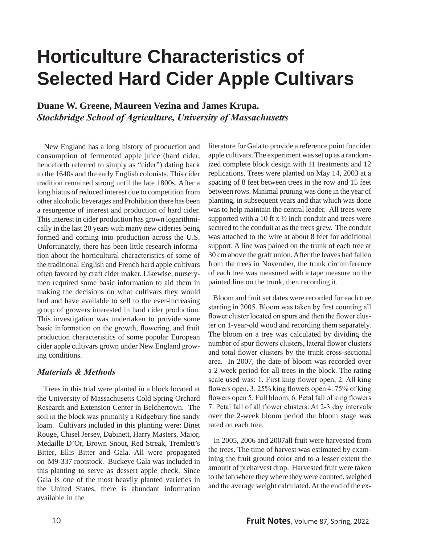## **Horticulture Characteristics of Selected Hard Cider Apple Cultivars**

**Duane W. Greene, Maureen Vezina and James Krupa.** *Stockbridge School of Agriculture, University of Massachusetts* 

New England has a long history of production and consumption of fermented apple juice (hard cider, henceforth referred to simply as "cider") dating back to the 1640s and the early English colonists. This cider tradition remained strong until the late 1800s. After a long hiatus of reduced interest due to competition from other alcoholic beverages and Prohibition there has been a resurgence of interest and production of hard cider. This interest in cider production has grown logarithmically in the last 20 years with many new cideries being formed and coming into production across the U.S. Unfortunately, there has been little research information about the horticultural characteristics of some of the traditional English and French hard apple cultivars often favored by craft cider maker. Likewise, nurserymen required some basic information to aid them in making the decisions on what cultivars they would bud and have available to sell to the ever-increasing group of growers interested in hard cider production. This investigation was undertaken to provide some basic information on the growth, flowering, and fruit production characteristics of some popular European cider apple cultivars grown under New England growing conditions.

## *Materials & Methods*

 Trees in this trial were planted in a block located at the University of Massachusetts Cold Spring Orchard Research and Extension Center in Belchertown. The soil in the block was primarily a Ridgebury fine sandy loam. Cultivars included in this planting were: Binet Rouge, Chisel Jersey, Dabinett, Harry Masters, Major, Medaille D'Or, Brown Snout, Red Streak, Tremlett's Bitter, Ellis Bitter and Gala. All were propagated on M9-337 rootstock. Buckeye Gala was included in this planting to serve as dessert apple check. Since Gala is one of the most heavily planted varieties in the United States, there is abundant information available in the

literature for Gala to provide a reference point for cider apple cultivars. The experiment was set up as a randomized complete block design with 11 treatments and 12 replications. Trees were planted on May 14, 2003 at a spacing of 8 feet between trees in the row and 15 feet between rows. Minimal pruning was done in the year of planting, in subsequent years and that which was done was to help maintain the central leader. All trees were supported with a 10 ft  $x \frac{1}{2}$  inch conduit and trees were secured to the conduit at as the trees grew. The conduit was attached to the wire at about 8 feet for additional support. A line was pained on the trunk of each tree at 30 cm above the graft union. After the leaves had fallen from the trees in November, the trunk circumference of each tree was measured with a tape measure on the painted line on the trunk, then recording it.

 Bloom and fruit set dates were recorded for each tree starting in 2005. Bloom was taken by first counting all flower cluster located on spurs and then the flower cluster on 1-year-old wood and recording them separately. The bloom on a tree was calculated by dividing the number of spur flowers clusters, lateral flower clusters and total flower clusters by the trunk cross-sectional area. In 2007, the date of bloom was recorded over a 2-week period for all trees in the block. The rating scale used was: 1. First king flower open, 2. All king flowers open, 3. 25% king flowers open 4. 75% of king flowers open 5. Full bloom, 6. Petal fall of king flowers 7. Petal fall of all flower clusters. At 2-3 day intervals over the 2-week bloom period the bloom stage was rated on each tree.

 In 2005, 2006 and 2007all fruit were harvested from the trees. The time of harvest was estimated by examining the fruit ground color and to a lesser extent the amount of preharvest drop. Harvested fruit were taken to the lab where they where they were counted, weighed and the average weight calculated. At the end of the ex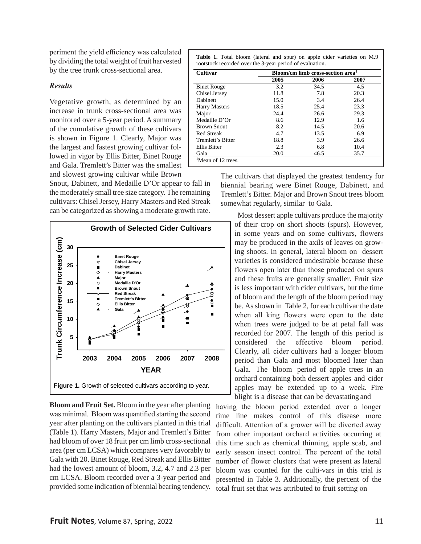periment the yield efficiency was calculated by dividing the total weight of fruit harvested by the tree trunk cross-sectional area.

## *Results*

Vegetative growth, as determined by an increase in trunk cross-sectional area was monitored over a 5-year period. A summary of the cumulative growth of these cultivars is shown in Figure 1. Clearly, Major was the largest and fastest growing cultivar followed in vigor by Ellis Bitter, Binet Rouge and Gala. Tremlett's Bitter was the smallest and slowest growing cultivar while Brown

Snout, Dabinett, and Medaille D'Or appear to fall in the moderately small tree size category. The remaining cultivars: Chisel Jersey, Harry Masters and Red Streak can be categorized as showing a moderate growth rate.



**Bloom and Fruit Set.** Bloom in the year after planting was minimal. Bloom was quantified starting the second year after planting on the cultivars planted in this trial (Table 1). Harry Masters, Major and Tremlett's Bitter had bloom of over 18 fruit per cm limb cross-sectional area (per cm LCSA) which compares very favorably to Gala with 20. Binet Rouge, Red Streak and Ellis Bitter had the lowest amount of bloom, 3.2, 4.7 and 2.3 per cm LCSA. Bloom recorded over a 3-year period and provided some indication of biennial bearing tendency.

|  |  |                                                          |  |  | <b>Table 1.</b> Total bloom (lateral and spur) on apple cider varieties on M.9 |  |
|--|--|----------------------------------------------------------|--|--|--------------------------------------------------------------------------------|--|
|  |  | rootstock recorded over the 3-year period of evaluation. |  |  |                                                                                |  |

| Cultivar                       | Bloom/cm limb cross-section area <sup>1</sup> |      |      |  |  |  |
|--------------------------------|-----------------------------------------------|------|------|--|--|--|
|                                | 2005                                          | 2006 | 2007 |  |  |  |
| <b>Binet Rouge</b>             | 3.2                                           | 34.5 | 4.5  |  |  |  |
| Chisel Jersey                  | 11.8                                          | 7.8  | 20.3 |  |  |  |
| <b>Dabinett</b>                | 15.0                                          | 3.4  | 26.4 |  |  |  |
| <b>Harry Masters</b>           | 18.5                                          | 25.4 | 23.3 |  |  |  |
| Major                          | 24.4                                          | 26.6 | 29.3 |  |  |  |
| Medaille D'Or                  | 8.6                                           | 12.9 | 1.6  |  |  |  |
| <b>Brown Snout</b>             | 8.2                                           | 14.5 | 20.6 |  |  |  |
| <b>Red Streak</b>              | 4.7                                           | 13.5 | 6.9  |  |  |  |
| Tremlett's Bitter              | 18.8                                          | 3.9  | 26.6 |  |  |  |
| <b>Ellis Bitter</b>            | 2.3                                           | 6.8  | 10.4 |  |  |  |
| Gala                           | 20.0                                          | 46.5 | 35.7 |  |  |  |
| <sup>1</sup> Mean of 12 trees. |                                               |      |      |  |  |  |

The cultivars that displayed the greatest tendency for biennial bearing were Binet Rouge, Dabinett, and Tremlett's Bitter. Major and Brown Snout trees bloom somewhat regularly, similar to Gala.

 Most dessert apple cultivars produce the majority of their crop on short shoots (spurs). However, in some years and on some cultivars, flowers may be produced in the axils of leaves on growing shoots. In general, lateral bloom on dessert varieties is considered undesirable because these flowers open later than those produced on spurs and these fruits are generally smaller. Fruit size is less important with cider cultivars, but the time of bloom and the length of the bloom period may be. As shown in Table 2, for each cultivar the date when all king flowers were open to the date when trees were judged to be at petal fall was recorded for 2007. The length of this period is considered the effective bloom period. Clearly, all cider cultivars had a longer bloom period than Gala and most bloomed later than Gala. The bloom period of apple trees in an orchard containing both dessert apples and cider apples may be extended up to a week. Fire blight is a disease that can be devastating and

having the bloom period extended over a longer time line makes control of this disease more difficult. Attention of a grower will be diverted away from other important orchard activities occurring at this time such as chemical thinning, apple scab, and early season insect control. The percent of the total number of flower clusters that were present as lateral bloom was counted for the culti-vars in this trial is presented in Table 3. Additionally, the percent of the total fruit set that was attributed to fruit setting on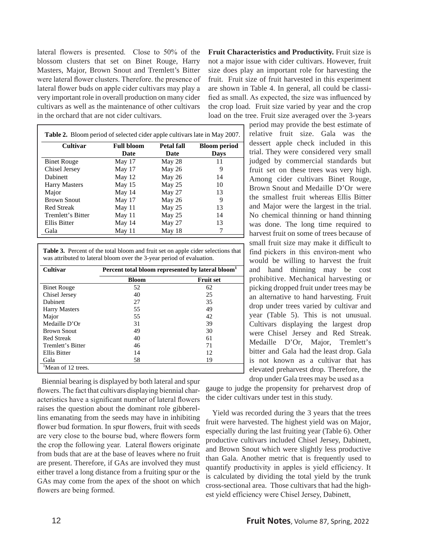lateral flowers is presented. Close to 50% of the blossom clusters that set on Binet Rouge, Harry Masters, Major, Brown Snout and Tremlett's Bitter were lateral flower clusters. Therefore. the presence of lateral flower buds on apple cider cultivars may play a very important role in overall production on many cider cultivars as well as the maintenance of other cultivars in the orchard that are not cider cultivars.

| <b>Cultivar</b>      | <b>Full bloom</b> | <b>Petal fall</b> | <b>Bloom period</b> |
|----------------------|-------------------|-------------------|---------------------|
|                      | Date              | Date              | Days                |
| <b>Binet Rouge</b>   | May 17            | May 28            | 11                  |
| Chisel Jersey        | May 17            | May 26            |                     |
| Dabinett             | May 12            | May 26            | 14                  |
| <b>Harry Masters</b> | May 15            | May 25            | 10                  |
| Major                | May 14            | May 27            | 13                  |
| <b>Brown Snout</b>   | May 17            | May 26            | 9                   |
| <b>Red Streak</b>    | May $11$          | May 25            | 13                  |
| Tremlett's Bitter    | May $11$          | May 25            | 14                  |
| Ellis Bitter         | May 14            | May 27            | 13                  |
| Gala                 | May 11            | May 18            |                     |

**Table 3.** Percent of the total bloom and fruit set on apple cider selections that was attributed to lateral bloom over the 3-year period of evaluation.

| <b>Cultivar</b>                | Percent total bloom represented by lateral bloom <sup>1</sup> |                  |  |  |  |  |
|--------------------------------|---------------------------------------------------------------|------------------|--|--|--|--|
|                                | <b>Bloom</b>                                                  | <b>Fruit set</b> |  |  |  |  |
| <b>Binet Rouge</b>             | 52                                                            | 62               |  |  |  |  |
| Chisel Jersey                  | 40                                                            | 25               |  |  |  |  |
| Dabinett                       | 27                                                            | 35               |  |  |  |  |
| <b>Harry Masters</b>           | 55                                                            | 49               |  |  |  |  |
| Major                          | 55                                                            | 42               |  |  |  |  |
| Medaille D'Or                  | 31                                                            | 39               |  |  |  |  |
| <b>Brown Snout</b>             | 49                                                            | 30               |  |  |  |  |
| <b>Red Streak</b>              | 40                                                            | 61               |  |  |  |  |
| Tremlett's Bitter              | 46                                                            | 71               |  |  |  |  |
| Ellis Bitter                   | 14                                                            | 12               |  |  |  |  |
| Gala                           | 58                                                            | 19               |  |  |  |  |
| <sup>1</sup> Mean of 12 trees. |                                                               |                  |  |  |  |  |

 Biennial bearing is displayed by both lateral and spur flowers. The fact that cultivars displaying biennial characteristics have a significant number of lateral flowers raises the question about the dominant role gibberellins emanating from the seeds may have in inhibiting flower bud formation. In spur flowers, fruit with seeds are very close to the bourse bud, where flowers form the crop the following year. Lateral flowers originate from buds that are at the base of leaves where no fruit are present. Therefore, if GAs are involved they must either travel a long distance from a fruiting spur or the GAs may come from the apex of the shoot on which flowers are being formed.

**Fruit Characteristics and Productivity.** Fruit size is not a major issue with cider cultivars. However, fruit size does play an important role for harvesting the fruit. Fruit size of fruit harvested in this experiment are shown in Table 4. In general, all could be classified as small. As expected, the size was influenced by the crop load. Fruit size varied by year and the crop load on the tree. Fruit size averaged over the 3-years

> period may provide the best estimate of relative fruit size. Gala was the dessert apple check included in this trial. They were considered very small judged by commercial standards but fruit set on these trees was very high. Among cider cultivars Binet Rouge, Brown Snout and Medaille D'Or were the smallest fruit whereas Ellis Bitter and Major were the largest in the trial. No chemical thinning or hand thinning was done. The long time required to harvest fruit on some of trees because of small fruit size may make it difficult to find pickers in this environ-ment who would be willing to harvest the fruit and hand thinning may be cost prohibitive. Mechanical harvesting or picking dropped fruit under trees may be an alternative to hand harvesting. Fruit drop under trees varied by cultivar and year (Table 5). This is not unusual. Cultivars displaying the largest drop were Chisel Jersey and Red Streak. Medaille D'Or, Major, Tremlett's bitter and Gala had the least drop. Gala is not known as a cultivar that has elevated preharvest drop. Therefore, the drop under Gala trees may be used as a

gauge to judge the propensity for preharvest drop of the cider cultivars under test in this study.

 Yield was recorded during the 3 years that the trees fruit were harvested. The highest yield was on Major, especially during the last fruiting year (Table 6). Other productive cultivars included Chisel Jersey, Dabinett, and Brown Snout which were slightly less productive than Gala. Another metric that is frequently used to quantify productivity in apples is yield efficiency. It is calculated by dividing the total yield by the trunk cross-sectional area. Those cultivars that had the highest yield efficiency were Chisel Jersey, Dabinett,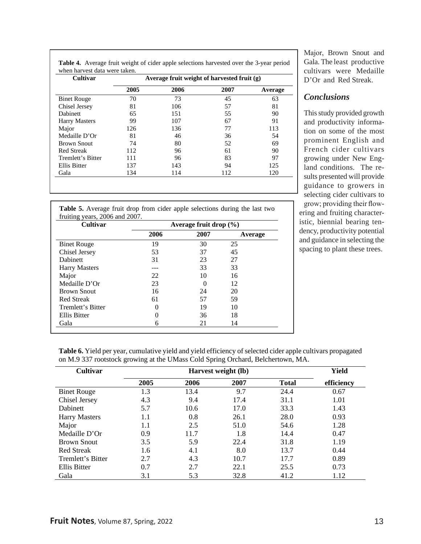| <b>Cultivar</b>      | Average fruit weight of harvested fruit (g) |      |      |         |  |  |  |
|----------------------|---------------------------------------------|------|------|---------|--|--|--|
|                      | 2005                                        | 2006 | 2007 | Average |  |  |  |
| <b>Binet Rouge</b>   | 70                                          | 73   | 45   | 63      |  |  |  |
| Chisel Jersey        | 81                                          | 106  | 57   | 81      |  |  |  |
| <b>Dabinett</b>      | 65                                          | 151  | 55   | 90      |  |  |  |
| <b>Harry Masters</b> | 99                                          | 107  | 67   | 91      |  |  |  |
| Major                | 126                                         | 136  | 77   | 113     |  |  |  |
| Medaille D'Or        | 81                                          | 46   | 36   | 54      |  |  |  |
| <b>Brown Snout</b>   | 74                                          | 80   | 52   | 69      |  |  |  |
| <b>Red Streak</b>    | 112                                         | 96   | 61   | 90      |  |  |  |
| Tremlett's Bitter    | 111                                         | 96   | 83   | 97      |  |  |  |
| Ellis Bitter         | 137                                         | 143  | 94   | 125     |  |  |  |
| Gala                 | 134                                         | 114  | 112  | 120     |  |  |  |

**Table 4.** Average fruit weight of cider apple selections harvested over the 3-year period when harvest data were taken.

**Table 5.** Average fruit drop from cider apple selections during the last two fruiting years, 2006 and 2007.

| <b>Cultivar</b>      | Average fruit drop $(\% )$ |          |         |  |  |
|----------------------|----------------------------|----------|---------|--|--|
|                      | 2006                       | 2007     | Average |  |  |
| <b>Binet Rouge</b>   | 19                         | 30       | 25      |  |  |
| Chisel Jersey        | 53                         | 37       | 45      |  |  |
| Dabinett             | 31                         | 23       | 27      |  |  |
| <b>Harry Masters</b> |                            | 33       | 33      |  |  |
| Major                | 22                         | 10       | 16      |  |  |
| Medaille D'Or        | 23                         | $\Omega$ | 12      |  |  |
| <b>Brown Snout</b>   | 16                         | 24       | 20      |  |  |
| <b>Red Streak</b>    | 61                         | 57       | 59      |  |  |
| Tremlett's Bitter    | 0                          | 19       | 10      |  |  |
| Ellis Bitter         | $\Omega$                   | 36       | 18      |  |  |
| Gala                 | 6                          | 21       | 14      |  |  |

Major, Brown Snout and Gala. The least productive cultivars were Medaille D'Or and Red Streak.

## *Conclusions*

This study provided growth and productivity information on some of the most prominent English and French cider cultivars growing under New England conditions. The results presented will provide guidance to growers in selecting cider cultivars to grow; providing their flow-

ering and fruiting characteristic, biennial bearing tendency, productivity potential and guidance in selecting the spacing to plant these trees.

**Table 6.** Yield per year, cumulative yield and yield efficiency of selected cider apple cultivars propagated on M.9 337 rootstock growing at the UMass Cold Spring Orchard, Belchertown, MA.

| Cultivar             |      | Yield |      |              |            |
|----------------------|------|-------|------|--------------|------------|
|                      | 2005 | 2006  | 2007 | <b>Total</b> | efficiency |
| <b>Binet Rouge</b>   | 1.3  | 13.4  | 9.7  | 24.4         | 0.67       |
| Chisel Jersey        | 4.3  | 9.4   | 17.4 | 31.1         | 1.01       |
| <b>Dabinett</b>      | 5.7  | 10.6  | 17.0 | 33.3         | 1.43       |
| <b>Harry Masters</b> | 1.1  | 0.8   | 26.1 | 28.0         | 0.93       |
| Major                | 1.1  | 2.5   | 51.0 | 54.6         | 1.28       |
| Medaille D'Or        | 0.9  | 11.7  | 1.8  | 14.4         | 0.47       |
| <b>Brown Snout</b>   | 3.5  | 5.9   | 22.4 | 31.8         | 1.19       |
| <b>Red Streak</b>    | 1.6  | 4.1   | 8.0  | 13.7         | 0.44       |
| Tremlett's Bitter    | 2.7  | 4.3   | 10.7 | 17.7         | 0.89       |
| <b>Ellis Bitter</b>  | 0.7  | 2.7   | 22.1 | 25.5         | 0.73       |
| Gala                 | 3.1  | 5.3   | 32.8 | 41.2         | 1.12       |